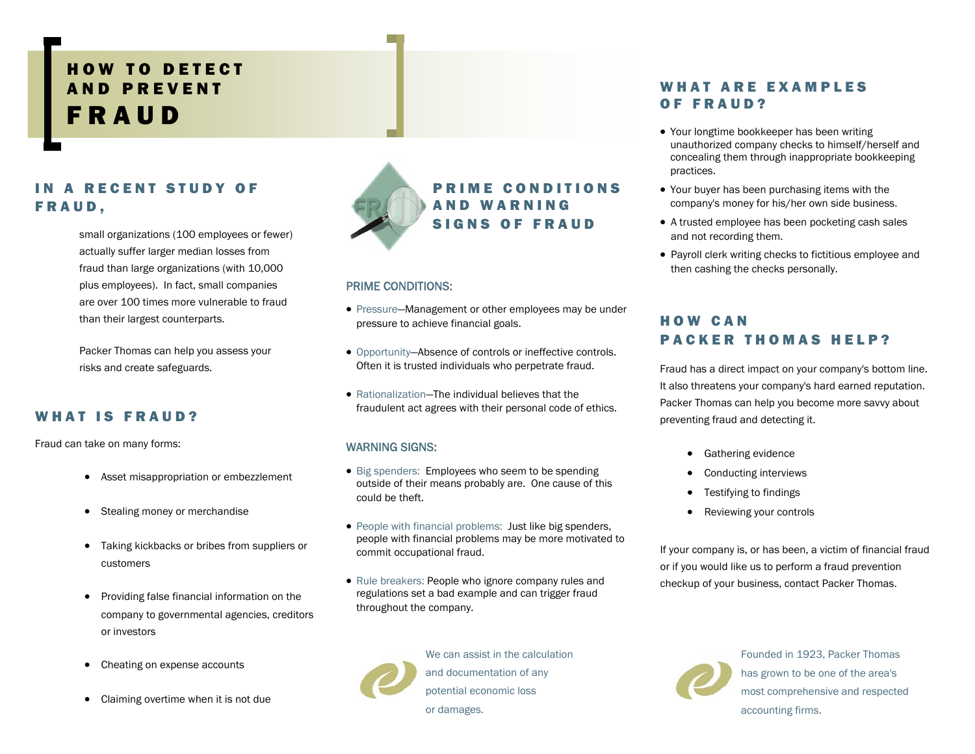# HOW TO DETECT AND PREVENT FRAUD

### IN A RECENT STUDY OF FRAUD,

small organizations (100 employees or fewer) actually suffer larger median losses from fraud than large organizations (with 10,000 plus employees). In fact, small companies are over 100 times more vulnerable to fraud than their largest counterparts.

Packer Thomas can help you assess your risks and create safeguards.

#### WHAT IS FRAUD?

Fraud can take on many forms:

- Asset misappropriation or embezzlement
- Stealing money or merchandise
- Taking kickbacks or bribes from suppliers or customers
- Providing false financial information on the company to governmental agencies, creditors or investors
- Cheating on expense accounts
- Claiming overtime when it is not due



#### PRIME CONDITIONS:

- Pressure—Management or other employees may be under pressure to achieve financial goals.
- Opportunity—Absence of controls or ineffective controls. Often it is trusted individuals who perpetrate fraud.
- Rationalization—The individual believes that the fraudulent act agrees with their personal code of ethics.

#### WARNING SIGNS:

- Big spenders: Employees who seem to be spending outside of their means probably are. One cause of this could be theft.
- People with financial problems: Just like big spenders, people with financial problems may be more motivated to commit occupational fraud.
- Rule breakers: People who ignore company rules and regulations set a bad example and can trigger fraud throughout the company.



We can assist in the calculation and documentation of any potential economic loss or damages.

#### WHAT ARE EXAMPLES OF FRAUD?

- Your longtime bookkeeper has been writing unauthorized company checks to himself/herself and concealing them through inappropriate bookkeeping practices.
- Your buyer has been purchasing items with the company's money for his/her own side business.
- A trusted employee has been pocketing cash sales and not recording them.
- Payroll clerk writing checks to fictitious employee and then cashing the checks personally.

### HOW CAN PACKER THOMAS HELP?

Fraud has a direct impact on your company's bottom line. It also threatens your company's hard earned reputation. Packer Thomas can help you become more savvy about preventing fraud and detecting it.

- Gathering evidence
- Conducting interviews
- Testifying to findings
- Reviewing your controls

If your company is, or has been, a victim of financial fraud or if you would like us to perform a fraud prevention checkup of your business, contact Packer Thomas.